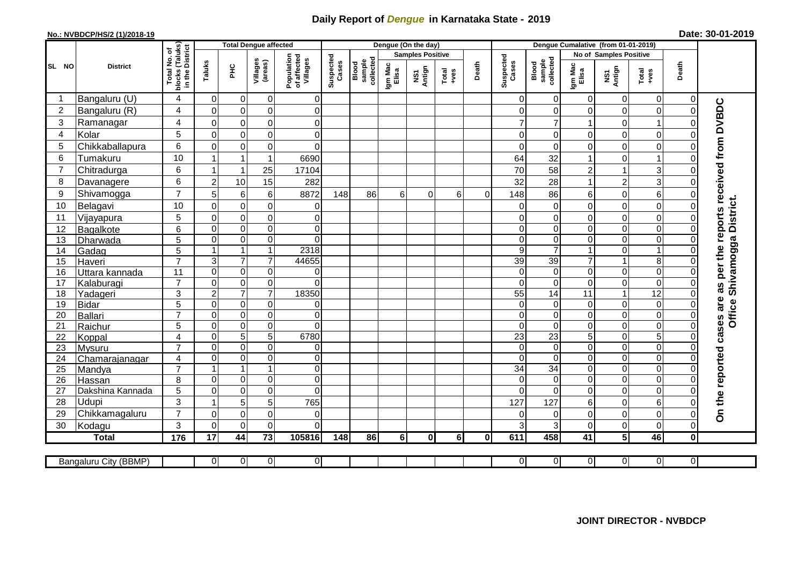## **Daily Report of** *Dengue* **in Karnataka State - 2019**

## **No.: NVBDCP/HS/2 (1)/2018-19 Date: 30-01-2019**

|                 |                            |                                                                           |                 | <b>Total Dengue affected</b> |                             |                                       | Dengue (On the day) |                              |                         |               |                |              |                    | Dengue Cumalative (from 01-01-2019) |                                  |                         |                         |                      |                                        |  |
|-----------------|----------------------------|---------------------------------------------------------------------------|-----------------|------------------------------|-----------------------------|---------------------------------------|---------------------|------------------------------|-------------------------|---------------|----------------|--------------|--------------------|-------------------------------------|----------------------------------|-------------------------|-------------------------|----------------------|----------------------------------------|--|
|                 |                            |                                                                           |                 |                              |                             |                                       |                     |                              | <b>Samples Positive</b> |               |                |              |                    | No of Samples Positive              |                                  |                         |                         |                      |                                        |  |
| SL NO           | <b>District</b>            | Total No. of<br>Iocks (Taluks)<br>in the District<br>blocks (<br>in the I | Taluks          | <b>PHC</b>                   | Villages<br>(areas)         | Population<br>of affected<br>Villages | Suspected<br>Cases  | sample<br>collected<br>Blood | Igm Mac<br>Elisa        | NS1<br>Antign | Total<br>+ves  | Death        | Suspected<br>Cases | sample<br>collected<br>Blood        | Igm Mac<br>Elisa                 | NS1<br>Antign           | Total<br>+ves           | Death                |                                        |  |
| -1              | Bangaluru (U)              | $\overline{4}$                                                            | $\mathbf 0$     | $\mathbf 0$                  | 0                           | $\overline{0}$                        |                     |                              |                         |               |                |              | $\Omega$           | 0                                   | $\Omega$                         | 0                       | $\mathbf 0$             | 0                    |                                        |  |
| $\overline{2}$  | Bangaluru (R)              | $\overline{4}$                                                            | $\Omega$        | $\mathbf 0$                  | $\mathbf 0$                 | $\overline{0}$                        |                     |                              |                         |               |                |              | $\Omega$           | $\Omega$                            | $\Omega$                         | $\mathbf 0$             | $\mathbf 0$             | $\Omega$             |                                        |  |
| 3               | Ramanagar                  | $\overline{4}$                                                            | 0               | $\pmb{0}$                    | $\pmb{0}$                   | $\mathbf 0$                           |                     |                              |                         |               |                |              |                    | $\overline{7}$                      | 1                                | 0                       | $\mathbf 1$             |                      | as per the reports received from DVBDC |  |
| $\overline{4}$  | Kolar                      | 5                                                                         | $\mathbf 0$     | $\mathbf 0$                  | $\overline{0}$              | $\mathsf 0$                           |                     |                              |                         |               |                |              | 0                  | $\mathbf 0$                         | 0                                | $\mathsf 0$             | $\boldsymbol{0}$        | 0                    |                                        |  |
| 5               | Chikkaballapura            | 6                                                                         | 0               | $\mathbf 0$                  | $\mathbf 0$                 | $\mathbf 0$                           |                     |                              |                         |               |                |              | $\Omega$           | $\Omega$                            | $\overline{0}$                   | 0                       | $\pmb{0}$               |                      |                                        |  |
| 6               | Tumakuru                   | 10                                                                        | 1               | $\overline{1}$               | $\mathbf{1}$                | 6690                                  |                     |                              |                         |               |                |              | 64                 | 32                                  | 1                                | 0                       |                         |                      |                                        |  |
| $\overline{7}$  | Chitradurga                | 6                                                                         | -1              | $\overline{1}$               | 25                          | 17104                                 |                     |                              |                         |               |                |              | 70                 | 58                                  | $\overline{c}$                   | $\mathbf{1}$            | $\sqrt{3}$              |                      |                                        |  |
| 8               | Davanagere                 | 6                                                                         | $\overline{c}$  | 10                           | 15                          | 282                                   |                     |                              |                         |               |                |              | 32                 | 28                                  | $\mathbf{1}$                     | $\boldsymbol{2}$        | 3                       |                      |                                        |  |
| 9               | Shivamogga                 | $\overline{7}$                                                            | 5               | 6                            | 6                           | 8872                                  | 148                 | 86                           | 6                       | 0             | 6              | $\Omega$     | 148                | 86                                  | 6                                | 0                       | $\,6$                   |                      |                                        |  |
| 10              | Belagavi                   | 10                                                                        | $\mathbf 0$     | $\mathbf 0$                  | 0                           | $\mathbf 0$                           |                     |                              |                         |               |                |              | $\Omega$           | $\mathbf 0$                         | 0                                | 0                       | $\mathbf 0$             |                      | Office Shivamogga District.            |  |
| 11              | Vijayapura                 | 5                                                                         | $\mathbf 0$     | $\mathbf 0$                  | 0                           | $\overline{0}$                        |                     |                              |                         |               |                |              | $\Omega$           | $\mathbf 0$                         | 0                                | $\mathbf 0$             | $\mathbf 0$             |                      |                                        |  |
| 12              | Bagalkote                  | 6                                                                         | 0               | $\pmb{0}$                    | $\mathsf 0$                 | $\mathbf 0$                           |                     |                              |                         |               |                |              | $\Omega$           | $\mathbf 0$                         | 0                                | 0                       | $\mathbf 0$             | 0                    |                                        |  |
| 13              | Dharwada                   | 5                                                                         | $\Omega$        | $\pmb{0}$                    | $\mathsf 0$                 | $\Omega$                              |                     |                              |                         |               |                |              | $\Omega$           | $\mathbf 0$                         | 0                                | $\mathsf 0$             | $\boldsymbol{0}$        |                      |                                        |  |
| 14              | Gadag                      | 5                                                                         | 1               | $\mathbf{1}$                 | $\mathbf{1}$                | 2318                                  |                     |                              |                         |               |                |              | 9                  | $\overline{7}$                      | $\mathbf{1}$                     | $\mathsf 0$             | $\overline{1}$          |                      |                                        |  |
| 15              | Haveri                     | $\overline{7}$                                                            | 3               | $\overline{7}$               | $\overline{7}$              | 44655                                 |                     |                              |                         |               |                |              | 39                 | 39                                  | $\overline{7}$                   | $\mathbf{1}$            | $\overline{8}$          |                      |                                        |  |
| 16              | Uttara kannada             | 11                                                                        | 0               | $\pmb{0}$                    | 0                           | 0                                     |                     |                              |                         |               |                |              | $\Omega$           | $\mathbf 0$                         | 0                                | 0                       | $\boldsymbol{0}$        |                      |                                        |  |
| 17              | Kalaburagi                 | $\overline{7}$                                                            | 0               | $\pmb{0}$                    | $\pmb{0}$                   | $\Omega$                              |                     |                              |                         |               |                |              | $\Omega$           | $\Omega$                            | 0                                | $\mathsf 0$             | $\boldsymbol{0}$        |                      |                                        |  |
| 18              | Yadageri                   | 3                                                                         | $\overline{2}$  | $\overline{7}$               | $\overline{7}$              | 18350                                 |                     |                              |                         |               |                |              | $\overline{55}$    | 14                                  | $\overline{11}$                  | $\mathbf{1}$            | 12                      |                      |                                        |  |
| 19              | <b>Bidar</b>               | 5                                                                         | 0               | $\pmb{0}$                    | 0                           | 0                                     |                     |                              |                         |               |                |              | $\Omega$           | 0                                   | $\Omega$                         | $\mathsf{O}\xspace$     | $\mathbf 0$             |                      |                                        |  |
| 20              | Ballari                    | $\overline{7}$                                                            | 0               | $\pmb{0}$                    | 0                           | $\mathbf 0$                           |                     |                              |                         |               |                |              | 0                  | $\mathbf 0$                         | 0                                | $\overline{0}$          | $\pmb{0}$               |                      |                                        |  |
| 21              | Raichur                    | 5                                                                         | $\Omega$        | 0                            | $\mathbf 0$                 | $\Omega$                              |                     |                              |                         |               |                |              | $\Omega$           | $\Omega$                            | 0                                | 0                       | $\pmb{0}$               | $\Omega$             |                                        |  |
| $\overline{22}$ | Koppal                     | $\overline{4}$                                                            | 0               | $\overline{5}$               | $\overline{5}$              | 6780                                  |                     |                              |                         |               |                |              | $\overline{23}$    | $\overline{23}$                     | $\overline{5}$                   | $\overline{0}$          | $\overline{5}$          |                      |                                        |  |
| 23              | Mysuru                     | $\overline{7}$                                                            | 0               | $\mathbf 0$                  | $\mathbf 0$                 | $\mathbf 0$                           |                     |                              |                         |               |                |              | $\Omega$           | $\mathbf 0$                         | $\overline{0}$                   | $\mathbf 0$             | $\overline{\mathsf{o}}$ | $\Omega$             |                                        |  |
| 24              | Chamarajanagar             | $\overline{4}$                                                            | 0               | $\mathbf 0$                  | $\mathbf 0$                 | $\overline{0}$                        |                     |                              |                         |               |                |              | $\Omega$           | $\Omega$                            | $\overline{0}$                   | $\mathbf 0$             | $\pmb{0}$               | $\Omega$             |                                        |  |
| 25              | Mandya                     | $\overline{7}$<br>8                                                       | 1<br>0          | $\mathbf{1}$<br>$\mathbf 0$  | $\mathbf{1}$<br>$\mathbf 0$ | $\mathbf 0$<br>$\Omega$               |                     |                              |                         |               |                |              | 34<br>$\Omega$     | 34<br>$\Omega$                      | $\overline{0}$<br>$\overline{0}$ | 0<br>$\mathbf 0$        | $\pmb{0}$<br>$\pmb{0}$  | $\Omega$<br>$\Omega$ |                                        |  |
| 26<br>27        | Hassan<br>Dakshina Kannada | 5                                                                         | 0               | $\pmb{0}$                    | $\pmb{0}$                   | $\mathbf 0$                           |                     |                              |                         |               |                |              | $\Omega$           | $\mathbf 0$                         | 0                                | 0                       | $\pmb{0}$               | $\Omega$             |                                        |  |
| 28              | Udupi                      | 3                                                                         | $\mathbf{1}$    | 5                            | 5                           | 765                                   |                     |                              |                         |               |                |              | 127                | 127                                 | 6                                | 0                       | $6\phantom{1}6$         |                      |                                        |  |
| 29              | Chikkamagaluru             | $\overline{7}$                                                            | 0               | $\mathbf 0$                  | 0                           | 0                                     |                     |                              |                         |               |                |              | 0                  | 0                                   | 0                                | $\mathsf 0$             | $\pmb{0}$               |                      | On the reported cases are              |  |
| 30              | Kodagu                     | 3                                                                         | 0               | $\mathbf 0$                  | $\mathbf 0$                 | $\Omega$                              |                     |                              |                         |               |                |              | 3                  | $\mathsf 3$                         | 0                                | $\mathsf 0$             | $\mathbf 0$             | $\Omega$             |                                        |  |
|                 | <b>Total</b>               | 176                                                                       | $\overline{17}$ | 44                           | $\overline{73}$             | 105816                                | 148                 | 86                           | 6I                      | 0l            | 6 <sup>1</sup> | $\mathbf{0}$ | 611                | 458                                 | 41                               | $\overline{\mathbf{5}}$ | 46                      | 0I                   |                                        |  |
|                 |                            |                                                                           |                 |                              |                             |                                       |                     |                              |                         |               |                |              |                    |                                     |                                  |                         |                         |                      |                                        |  |
|                 | Bangaluru City (BBMP)      |                                                                           | $\overline{0}$  | $\overline{0}$               | $\overline{0}$              | $\overline{0}$                        |                     |                              |                         |               |                |              | $\overline{0}$     | $\overline{0}$                      | $\overline{0}$                   | $\overline{0}$          | $\overline{0}$          | $\overline{0}$       |                                        |  |